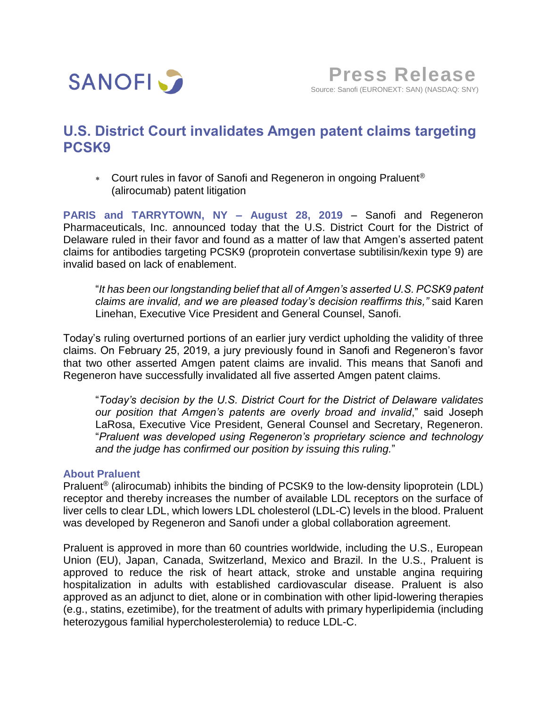

# **U.S. District Court invalidates Amgen patent claims targeting PCSK9**

\* Court rules in favor of Sanofi and Regeneron in ongoing Praluent<sup>®</sup> (alirocumab) patent litigation

**PARIS and TARRYTOWN, NY – August 28, 2019** – Sanofi and Regeneron Pharmaceuticals, Inc. announced today that the U.S. District Court for the District of Delaware ruled in their favor and found as a matter of law that Amgen's asserted patent claims for antibodies targeting PCSK9 (proprotein convertase subtilisin/kexin type 9) are invalid based on lack of enablement.

"*It has been our longstanding belief that all of Amgen's asserted U.S. PCSK9 patent claims are invalid, and we are pleased today's decision reaffirms this,"* said Karen Linehan, Executive Vice President and General Counsel, Sanofi.

Today's ruling overturned portions of an earlier jury verdict upholding the validity of three claims. On February 25, 2019, a jury previously found in Sanofi and Regeneron's favor that two other asserted Amgen patent claims are invalid. This means that Sanofi and Regeneron have successfully invalidated all five asserted Amgen patent claims.

"*Today's decision by the U.S. District Court for the District of Delaware validates our position that Amgen's patents are overly broad and invalid*," said Joseph LaRosa, Executive Vice President, General Counsel and Secretary, Regeneron. "*Praluent was developed using Regeneron's proprietary science and technology and the judge has confirmed our position by issuing this ruling.*"

## **About Praluent**

Praluent® (alirocumab) inhibits the binding of PCSK9 to the low-density lipoprotein (LDL) receptor and thereby increases the number of available LDL receptors on the surface of liver cells to clear LDL, which lowers LDL cholesterol (LDL-C) levels in the blood. Praluent was developed by Regeneron and Sanofi under a global collaboration agreement.

Praluent is approved in more than 60 countries worldwide, including the U.S., European Union (EU), Japan, Canada, Switzerland, Mexico and Brazil. In the U.S., Praluent is approved to reduce the risk of heart attack, stroke and unstable angina requiring hospitalization in adults with established cardiovascular disease. Praluent is also approved as an adjunct to diet, alone or in combination with other lipid-lowering therapies (e.g., statins, ezetimibe), for the treatment of adults with primary hyperlipidemia (including heterozygous familial hypercholesterolemia) to reduce LDL-C.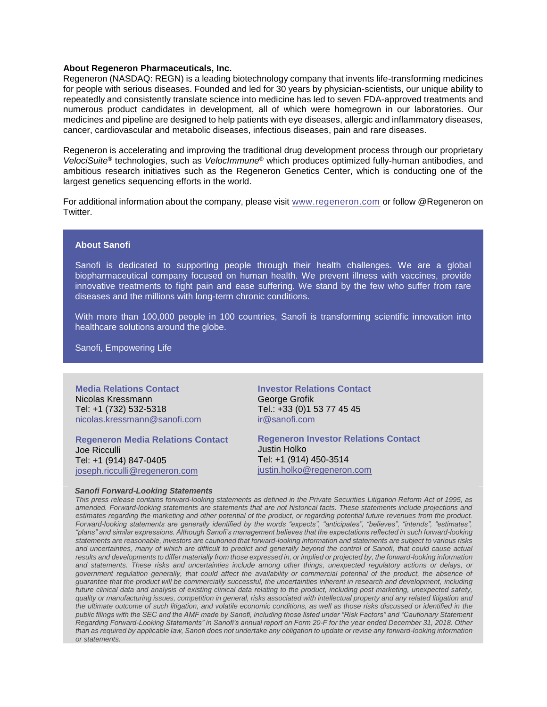#### **About Regeneron Pharmaceuticals, Inc.**

Regeneron (NASDAQ: REGN) is a leading biotechnology company that invents life-transforming medicines for people with serious diseases. Founded and led for 30 years by physician-scientists, our unique ability to repeatedly and consistently translate science into medicine has led to seven FDA-approved treatments and numerous product candidates in development, all of which were homegrown in our laboratories. Our medicines and pipeline are designed to help patients with eye diseases, allergic and inflammatory diseases, cancer, cardiovascular and metabolic diseases, infectious diseases, pain and rare diseases.

Regeneron is accelerating and improving the traditional drug development process through our proprietary *VelociSuite®* technologies, such as *VelocImmune*® which produces optimized fully-human antibodies, and ambitious research initiatives such as the Regeneron Genetics Center, which is conducting one of the largest genetics sequencing efforts in the world.

For additional information about the company, please visit [www.regeneron.com](http://www.regeneron.com/) or follow @Regeneron on Twitter.

### **About Sanofi**

Sanofi is dedicated to supporting people through their health challenges. We are a global biopharmaceutical company focused on human health. We prevent illness with vaccines, provide innovative treatments to fight pain and ease suffering. We stand by the few who suffer from rare diseases and the millions with long-term chronic conditions.

With more than 100,000 people in 100 countries, Sanofi is transforming scientific innovation into healthcare solutions around the globe.

Sanofi, Empowering Life

**Media Relations Contact** Nicolas Kressmann Tel: +1 (732) 532-5318 nicolas.kressmann@sanofi.com

**Regeneron Media Relations Contact** Joe Ricculli Tel: +1 (914) 847-0405 [joseph.ricculli@regeneron.com](mailto:joseph.ricculli@regeneron.com)

**Investor Relations Contact** George Grofik Tel.: +33 (0)1 53 77 45 45 [ir@sanofi.com](mailto:ir@sanofi.com)

**Regeneron Investor Relations Contact** Justin Holko Tel: +1 (914) 450-3514 [justin.holko@regeneron.com](mailto:justin.holko@regeneron.com)

## *Sanofi Forward-Looking Statements*

*This press release contains forward-looking statements as defined in the Private Securities Litigation Reform Act of 1995, as amended. Forward-looking statements are statements that are not historical facts. These statements include projections and estimates regarding the marketing and other potential of the product, or regarding potential future revenues from the product. Forward-looking statements are generally identified by the words "expects", "anticipates", "believes", "intends", "estimates", "plans" and similar expressions. Although Sanofi's management believes that the expectations reflected in such forward-looking statements are reasonable, investors are cautioned that forward-looking information and statements are subject to various risks and uncertainties, many of which are difficult to predict and generally beyond the control of Sanofi, that could cause actual results and developments to differ materially from those expressed in, or implied or projected by, the forward-looking information and statements. These risks and uncertainties include among other things, unexpected regulatory actions or delays, or government regulation generally, that could affect the availability or commercial potential of the product, the absence of guarantee that the product will be commercially successful, the uncertainties inherent in research and development, including future clinical data and analysis of existing clinical data relating to the product, including post marketing, unexpected safety, quality or manufacturing issues, competition in general, risks associated with intellectual property and any related litigation and the ultimate outcome of such litigation, and volatile economic conditions, as well as those risks discussed or identified in the public filings with the SEC and the AMF made by Sanofi, including those listed under "Risk Factors" and "Cautionary Statement Regarding Forward-Looking Statements" in Sanofi's annual report on Form 20-F for the year ended December 31, 2018. Other than as required by applicable law, Sanofi does not undertake any obligation to update or revise any forward-looking information or statements.*